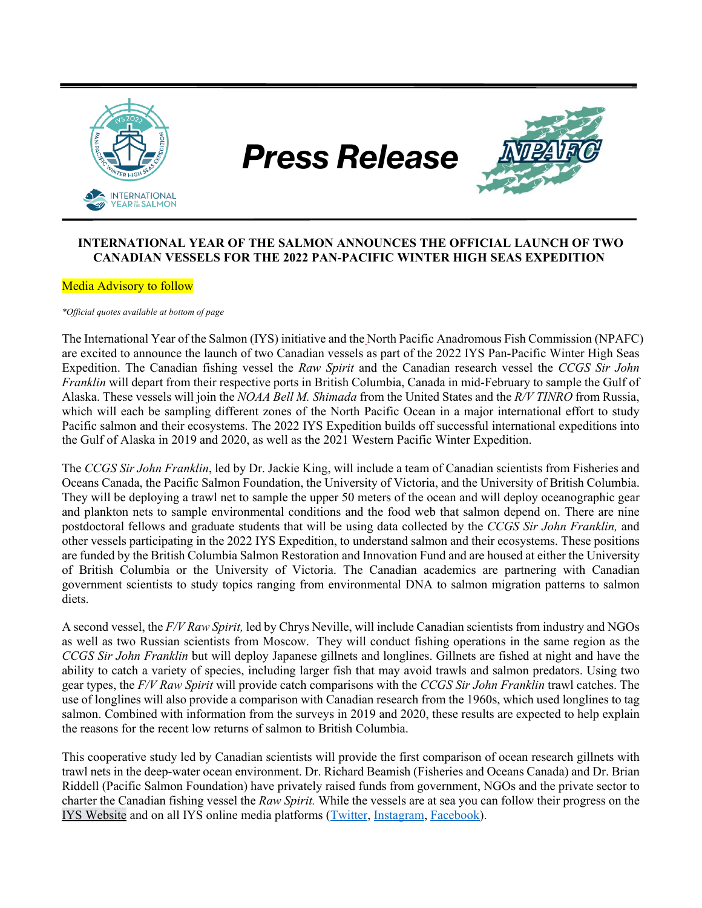

### **INTERNATIONAL YEAR OF THE SALMON ANNOUNCES THE OFFICIAL LAUNCH OF TWO CANADIAN VESSELS FOR THE 2022 PAN-PACIFIC WINTER HIGH SEAS EXPEDITION**

#### Media Advisory to follow

*\*Official quotes available at bottom of page*

The International Year of the Salmon (IYS) initiative and the North Pacific Anadromous Fish Commission (NPAFC) are excited to announce the launch of two Canadian vessels as part of the 2022 IYS Pan-Pacific Winter High Seas Expedition. The Canadian fishing vessel the *Raw Spirit* and the Canadian research vessel the *CCGS Sir John Franklin* will depart from their respective ports in British Columbia, Canada in mid-February to sample the Gulf of Alaska. These vessels will join the *NOAA Bell M. Shimada* from the United States and the *R/V TINRO* from Russia, which will each be sampling different zones of the North Pacific Ocean in a major international effort to study Pacific salmon and their ecosystems. The 2022 IYS Expedition builds off successful international expeditions into the Gulf of Alaska in 2019 and 2020, as well as the 2021 Western Pacific Winter Expedition.

The *CCGS Sir John Franklin*, led by Dr. Jackie King, will include a team of Canadian scientists from Fisheries and Oceans Canada, the Pacific Salmon Foundation, the University of Victoria, and the University of British Columbia. They will be deploying a trawl net to sample the upper 50 meters of the ocean and will deploy oceanographic gear and plankton nets to sample environmental conditions and the food web that salmon depend on. There are nine postdoctoral fellows and graduate students that will be using data collected by the *CCGS Sir John Franklin,* and other vessels participating in the 2022 IYS Expedition, to understand salmon and their ecosystems. These positions are funded by the British Columbia Salmon Restoration and Innovation Fund and are housed at either the University of British Columbia or the University of Victoria. The Canadian academics are partnering with Canadian government scientists to study topics ranging from environmental DNA to salmon migration patterns to salmon diets.

A second vessel, the *F/V Raw Spirit,* led by Chrys Neville, will include Canadian scientists from industry and NGOs as well as two Russian scientists from Moscow. They will conduct fishing operations in the same region as the *CCGS Sir John Franklin* but will deploy Japanese gillnets and longlines. Gillnets are fished at night and have the ability to catch a variety of species, including larger fish that may avoid trawls and salmon predators. Using two gear types, the *F/V Raw Spirit* will provide catch comparisons with the *CCGS Sir John Franklin* trawl catches. The use of longlines will also provide a comparison with Canadian research from the 1960s, which used longlines to tag salmon. Combined with information from the surveys in 2019 and 2020, these results are expected to help explain the reasons for the recent low returns of salmon to British Columbia.

This cooperative study led by Canadian scientists will provide the first comparison of ocean research gillnets with trawl nets in the deep-water ocean environment. Dr. Richard Beamish (Fisheries and Oceans Canada) and Dr. Brian Riddell (Pacific Salmon Foundation) have privately raised funds from government, NGOs and the private sector to charter the Canadian fishing vessel the *Raw Spirit.* While the vessels are at sea you can follow their progress on the [IYS Website](https://yearofthesalmon.org/2022expedition/) and on all IYS online media platforms [\(Twitter,](https://twitter.com/yearofthesalmon) [Instagram,](https://www.instagram.com/internationalyearofthesalmon/) [Facebook\)](https://www.facebook.com/yearofthesalmon).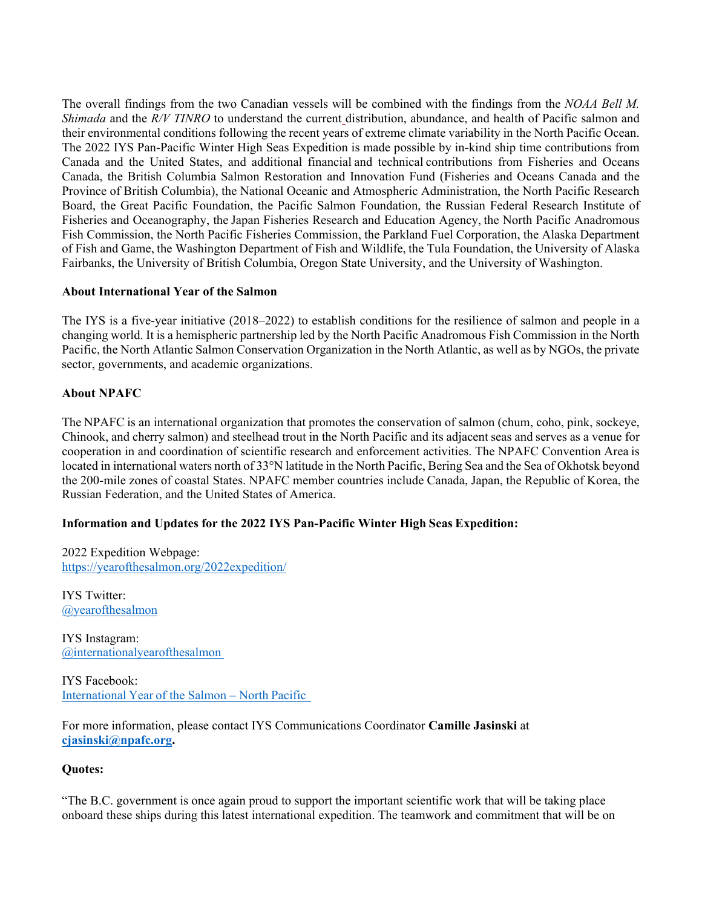The overall findings from the two Canadian vessels will be combined with the findings from the *NOAA Bell M. Shimada* and the *R/V TINRO* to understand the current distribution, abundance, and health of Pacific salmon and their environmental conditions following the recent years of extreme climate variability in the North Pacific Ocean. The 2022 IYS Pan-Pacific Winter High Seas Expedition is made possible by in-kind ship time contributions from Canada and the United States, and additional financial and technical contributions from Fisheries and Oceans Canada, the British Columbia Salmon Restoration and Innovation Fund (Fisheries and Oceans Canada and the Province of British Columbia), the National Oceanic and Atmospheric Administration, the North Pacific Research Board, the Great Pacific Foundation, the Pacific Salmon Foundation, the Russian Federal Research Institute of Fisheries and Oceanography, the Japan Fisheries Research and Education Agency, the North Pacific Anadromous Fish Commission, the North Pacific Fisheries Commission, the Parkland Fuel Corporation, the Alaska Department of Fish and Game, the Washington Department of Fish and Wildlife, the Tula Foundation, the University of Alaska Fairbanks, the University of British Columbia, Oregon State University, and the University of Washington. 

### **About International Year of the Salmon**

The IYS is a five-year initiative (2018–2022) to establish conditions for the resilience of salmon and people in a changing world. It is a hemispheric partnership led by the North Pacific Anadromous Fish Commission in the North Pacific, the North Atlantic Salmon Conservation Organization in the North Atlantic, as well as by NGOs, the private sector, governments, and academic organizations.  

# **About NPAFC**

The NPAFC is an international organization that promotes the conservation of salmon (chum, coho, pink, sockeye, Chinook, and cherry salmon) and steelhead trout in the North Pacific and its adjacent seas and serves as a venue for cooperation in and coordination of scientific research and enforcement activities. The NPAFC Convention Area is located in international waters north of 33°N latitude in the North Pacific, Bering Sea and the Sea of Okhotsk beyond the 200-mile zones of coastal States. NPAFC member countries include Canada, Japan, the Republic of Korea, the Russian Federation, and the United States of America.  

# **Information and Updates for the 2022 IYS Pan-Pacific Winter High Seas Expedition:**

2022 Expedition Webpage:  <https://yearofthesalmon.org/2022expedition/>  

IYS Twitter:  [@yearofthesalmon](https://twitter.com/yearofthesalmon)

IYS Instagram:  [@internationalyearoft](https://www.instagram.com/internationalyearofthesalmon/)hesalmon 

IYS Facebook:  [International Year of the Salmon](https://www.facebook.com/yearofthesalmon) – North Pacific  

For more information, please contact IYS Communications Coordinator **Camille Jasinski** at **[cjasinski@npafc.org.](mailto:cjasinski@npafc.org)**

#### **Quotes:**

"The B.C. government is once again proud to support the important scientific work that will be taking place onboard these ships during this latest international expedition. The teamwork and commitment that will be on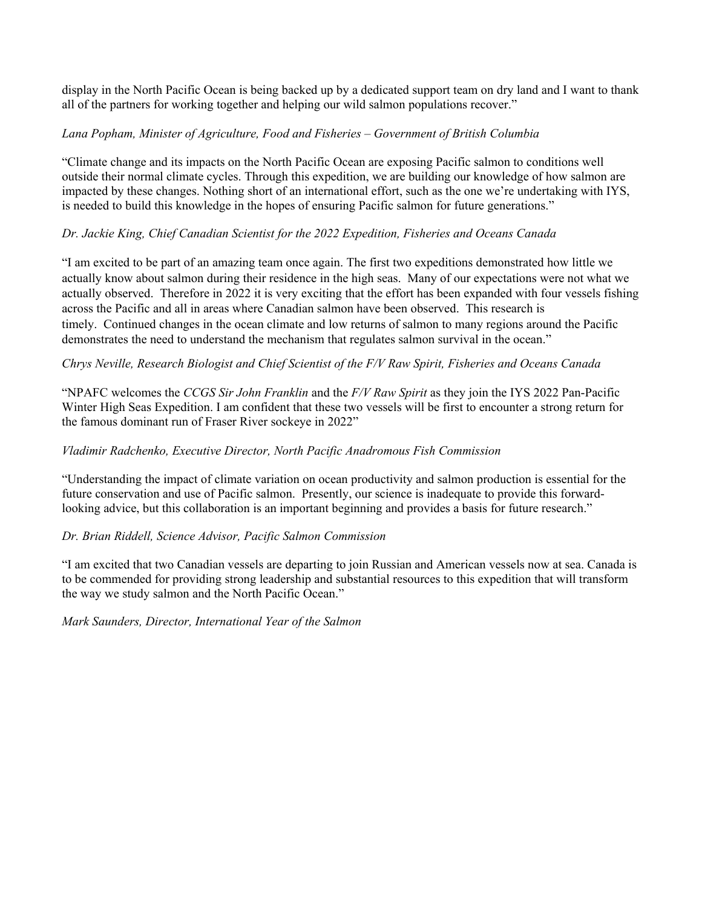display in the North Pacific Ocean is being backed up by a dedicated support team on dry land and I want to thank all of the partners for working together and helping our wild salmon populations recover."

# *Lana Popham, Minister of Agriculture, Food and Fisheries – Government of British Columbia*

"Climate change and its impacts on the North Pacific Ocean are exposing Pacific salmon to conditions well outside their normal climate cycles. Through this expedition, we are building our knowledge of how salmon are impacted by these changes. Nothing short of an international effort, such as the one we're undertaking with IYS, is needed to build this knowledge in the hopes of ensuring Pacific salmon for future generations."

# *Dr. Jackie King, Chief Canadian Scientist for the 2022 Expedition, Fisheries and Oceans Canada*

"I am excited to be part of an amazing team once again. The first two expeditions demonstrated how little we actually know about salmon during their residence in the high seas. Many of our expectations were not what we actually observed. Therefore in 2022 it is very exciting that the effort has been expanded with four vessels fishing across the Pacific and all in areas where Canadian salmon have been observed. This research is timely. Continued changes in the ocean climate and low returns of salmon to many regions around the Pacific demonstrates the need to understand the mechanism that regulates salmon survival in the ocean."

# *Chrys Neville, Research Biologist and Chief Scientist of the F/V Raw Spirit, Fisheries and Oceans Canada*

"NPAFC welcomes the *CCGS Sir John Franklin* and the *F/V Raw Spirit* as they join the IYS 2022 Pan-Pacific Winter High Seas Expedition. I am confident that these two vessels will be first to encounter a strong return for the famous dominant run of Fraser River sockeye in 2022"

# *Vladimir Radchenko, Executive Director, North Pacific Anadromous Fish Commission*

"Understanding the impact of climate variation on ocean productivity and salmon production is essential for the future conservation and use of Pacific salmon. Presently, our science is inadequate to provide this forwardlooking advice, but this collaboration is an important beginning and provides a basis for future research."

# *Dr. Brian Riddell, Science Advisor, Pacific Salmon Commission*

"I am excited that two Canadian vessels are departing to join Russian and American vessels now at sea. Canada is to be commended for providing strong leadership and substantial resources to this expedition that will transform the way we study salmon and the North Pacific Ocean."

*Mark Saunders, Director, International Year of the Salmon*